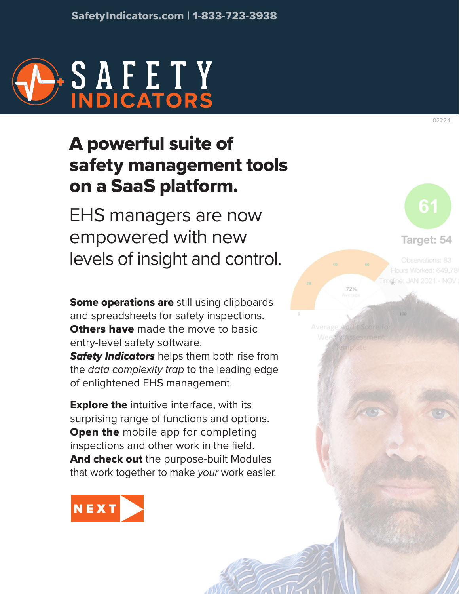

# A powerful suite of safety management tools on a SaaS platform.

EHS managers are now empowered with new levels of insight and control.

Some operations are still using clipboards and spreadsheets for safety inspections. **Others have** made the move to basic entry-level safety software.

*Safety Indicators* helps them both rise from the *data complexity trap* to the leading edge of enlightened EHS management.

**Explore the** intuitive interface, with its surprising range of functions and options. **Open the mobile app for completing** inspections and other work in the field. And check out the purpose-built Modules that work together to make *your* work easier.



Target: 54 Observations: 83 Hours Worked: 649,78

meline: JAN 2021 - NOV

Average Audit Score Weexly Assessment

72%

0222-1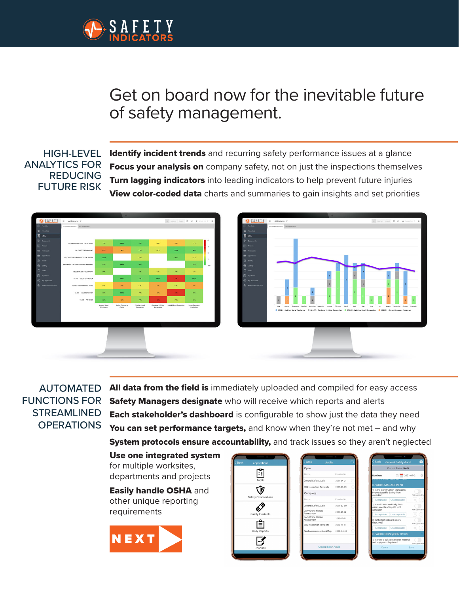<span id="page-1-0"></span>

# Get on board now for the inevitable future of safety management.

#### HIGH-LEVEL ANALYTICS FOR REDUCING FUTURE RISK

Identify incident trends and recurring safety performance issues at a glance Focus your analysis on company safety, not on just the inspections themselves **Turn lagging indicators** into leading indicators to help prevent future injuries View color-coded data charts and summaries to gain insights and set priorities



#### AUTOMATED FUNCTIONS FOR **STREAMLINED OPERATIONS**

All data from the field is immediately uploaded and compiled for easy access Safety Managers designate who will receive which reports and alerts **Each stakeholder's dashboard** is configurable to show just the data they need You can set performance targets, and know when they're not met – and why System protocols ensure accountability, and track issues so they aren't neglected

Use one integrated system for multiple worksites, departments and projects

Easily handle OSHA and other unique reporting requirements



| Back | Applications        |
|------|---------------------|
|      | VΞ<br>Audits        |
|      | Safety Observations |
|      | Safety Incidents    |
|      | 圁<br>Daily Reports  |
|      | Changes             |
|      |                     |

| Open                                 |            |   |
|--------------------------------------|------------|---|
|                                      |            |   |
| Name.                                | Created At |   |
| General Safety Audit                 | 2021-04-21 |   |
| BBS Inspection Template 2021-03-29   |            |   |
| Complete                             |            |   |
| Name                                 | Created At |   |
| General Safety Audit                 | 2021-02-09 |   |
| Daily Crane Hazard<br>Assessment     | 2021-01-19 |   |
| Daily Crane Hazard<br>Assessment     | 2020-12-01 |   |
| BBS Inspection Template 2020-11-11   |            |   |
| Field Assessment Lock/Tag 2020-04-08 |            | ï |
|                                      |            |   |
| <b>Create New Audit</b>              |            |   |